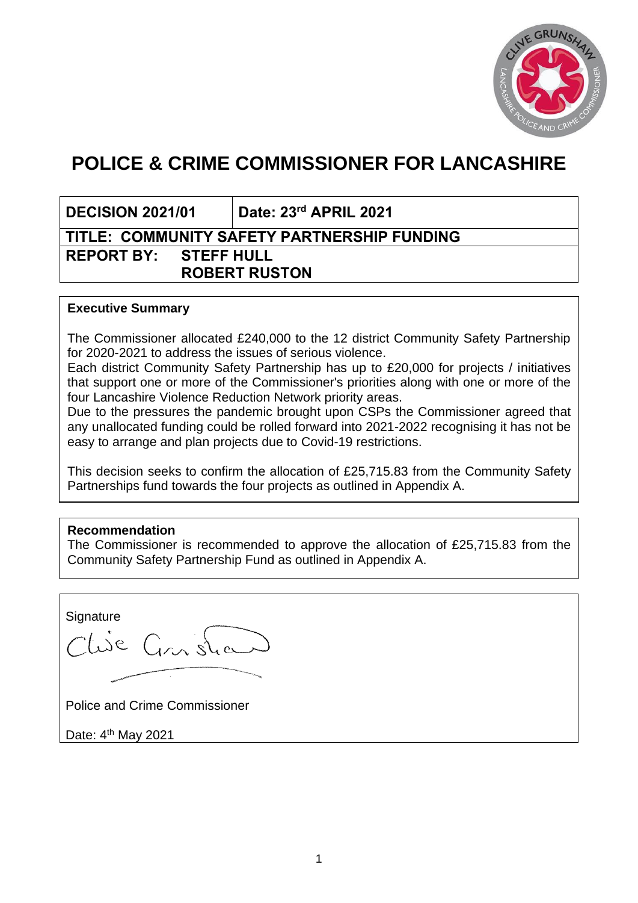

# **POLICE & CRIME COMMISSIONER FOR LANCASHIRE**

**DECISION 2021/01 Date: 23rd APRIL 2021**

# **TITLE: COMMUNITY SAFETY PARTNERSHIP FUNDING REPORT BY: STEFF HULL ROBERT RUSTON**

#### **Executive Summary**

The Commissioner allocated £240,000 to the 12 district Community Safety Partnership for 2020-2021 to address the issues of serious violence.

Each district Community Safety Partnership has up to £20,000 for projects / initiatives that support one or more of the Commissioner's priorities along with one or more of the four Lancashire Violence Reduction Network priority areas.

Due to the pressures the pandemic brought upon CSPs the Commissioner agreed that any unallocated funding could be rolled forward into 2021-2022 recognising it has not be easy to arrange and plan projects due to Covid-19 restrictions.

This decision seeks to confirm the allocation of £25,715.83 from the Community Safety Partnerships fund towards the four projects as outlined in Appendix A.

## **Recommendation**

The Commissioner is recommended to approve the allocation of £25,715.83 from the Community Safety Partnership Fund as outlined in Appendix A.

**Signature** Clise Constru

Police and Crime Commissioner

Date: 4<sup>th</sup> May 2021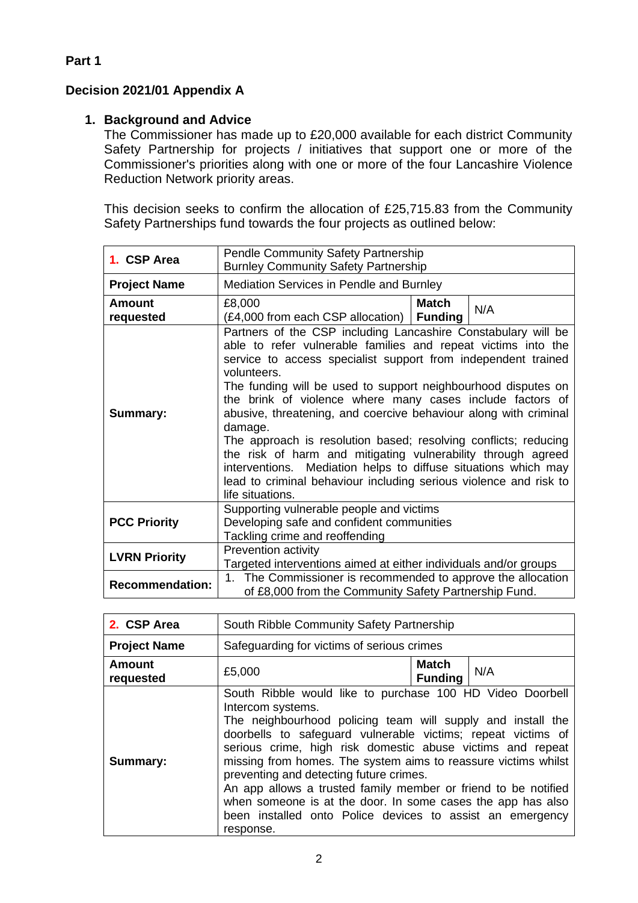# **Decision 2021/01 Appendix A**

## **1. Background and Advice**

The Commissioner has made up to £20,000 available for each district Community Safety Partnership for projects / initiatives that support one or more of the Commissioner's priorities along with one or more of the four Lancashire Violence Reduction Network priority areas.

This decision seeks to confirm the allocation of £25,715.83 from the Community Safety Partnerships fund towards the four projects as outlined below:

| 1. CSP Area            | <b>Pendle Community Safety Partnership</b><br><b>Burnley Community Safety Partnership</b>                                                                                                                                                                                                                                                                                                                                                                                                                                                                                                                                                                                                                                 |                                |     |
|------------------------|---------------------------------------------------------------------------------------------------------------------------------------------------------------------------------------------------------------------------------------------------------------------------------------------------------------------------------------------------------------------------------------------------------------------------------------------------------------------------------------------------------------------------------------------------------------------------------------------------------------------------------------------------------------------------------------------------------------------------|--------------------------------|-----|
| <b>Project Name</b>    | <b>Mediation Services in Pendle and Burnley</b>                                                                                                                                                                                                                                                                                                                                                                                                                                                                                                                                                                                                                                                                           |                                |     |
| Amount<br>requested    | £8,000<br>(£4,000 from each CSP allocation)                                                                                                                                                                                                                                                                                                                                                                                                                                                                                                                                                                                                                                                                               | <b>Match</b><br><b>Funding</b> | N/A |
| <b>Summary:</b>        | Partners of the CSP including Lancashire Constabulary will be<br>able to refer vulnerable families and repeat victims into the<br>service to access specialist support from independent trained<br>volunteers.<br>The funding will be used to support neighbourhood disputes on<br>the brink of violence where many cases include factors of<br>abusive, threatening, and coercive behaviour along with criminal<br>damage.<br>The approach is resolution based; resolving conflicts; reducing<br>the risk of harm and mitigating vulnerability through agreed<br>interventions. Mediation helps to diffuse situations which may<br>lead to criminal behaviour including serious violence and risk to<br>life situations. |                                |     |
| <b>PCC Priority</b>    | Supporting vulnerable people and victims<br>Developing safe and confident communities<br>Tackling crime and reoffending                                                                                                                                                                                                                                                                                                                                                                                                                                                                                                                                                                                                   |                                |     |
| <b>LVRN Priority</b>   | Prevention activity<br>Targeted interventions aimed at either individuals and/or groups                                                                                                                                                                                                                                                                                                                                                                                                                                                                                                                                                                                                                                   |                                |     |
| <b>Recommendation:</b> | 1. The Commissioner is recommended to approve the allocation<br>of £8,000 from the Community Safety Partnership Fund.                                                                                                                                                                                                                                                                                                                                                                                                                                                                                                                                                                                                     |                                |     |

| 2. CSP Area                | South Ribble Community Safety Partnership                                                                                                                                                                                                                                                                                                                                                                                                                                                                                                                                                           |                                |     |
|----------------------------|-----------------------------------------------------------------------------------------------------------------------------------------------------------------------------------------------------------------------------------------------------------------------------------------------------------------------------------------------------------------------------------------------------------------------------------------------------------------------------------------------------------------------------------------------------------------------------------------------------|--------------------------------|-----|
| <b>Project Name</b>        | Safeguarding for victims of serious crimes                                                                                                                                                                                                                                                                                                                                                                                                                                                                                                                                                          |                                |     |
| <b>Amount</b><br>requested | £5,000                                                                                                                                                                                                                                                                                                                                                                                                                                                                                                                                                                                              | <b>Match</b><br><b>Funding</b> | N/A |
| Summary:                   | South Ribble would like to purchase 100 HD Video Doorbell<br>Intercom systems.<br>The neighbourhood policing team will supply and install the<br>doorbells to safeguard vulnerable victims; repeat victims of<br>serious crime, high risk domestic abuse victims and repeat<br>missing from homes. The system aims to reassure victims whilst<br>preventing and detecting future crimes.<br>An app allows a trusted family member or friend to be notified<br>when someone is at the door. In some cases the app has also<br>been installed onto Police devices to assist an emergency<br>response. |                                |     |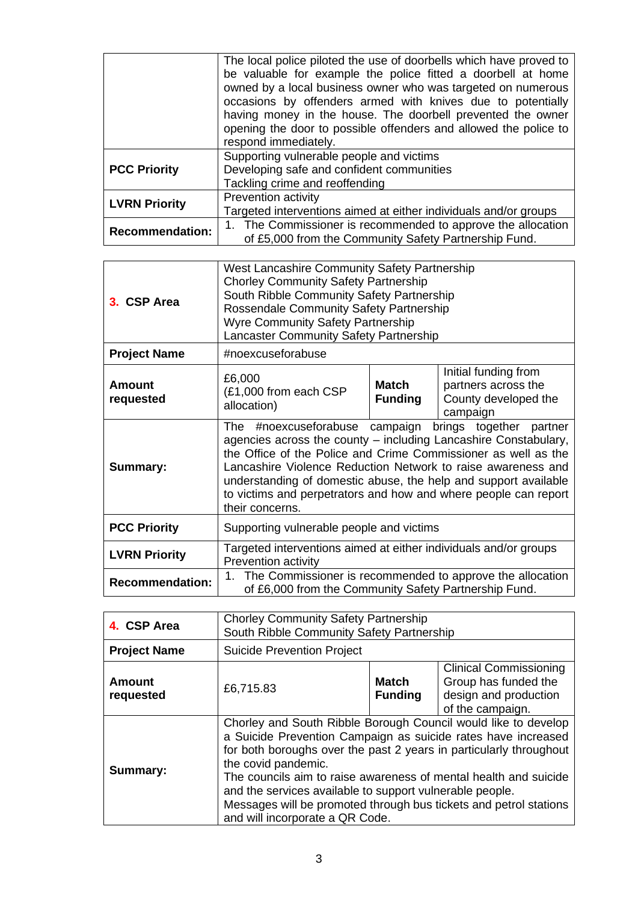|                        | The local police piloted the use of doorbells which have proved to<br>be valuable for example the police fitted a doorbell at home<br>owned by a local business owner who was targeted on numerous<br>occasions by offenders armed with knives due to potentially<br>having money in the house. The doorbell prevented the owner<br>opening the door to possible offenders and allowed the police to<br>respond immediately. |  |  |
|------------------------|------------------------------------------------------------------------------------------------------------------------------------------------------------------------------------------------------------------------------------------------------------------------------------------------------------------------------------------------------------------------------------------------------------------------------|--|--|
| <b>PCC Priority</b>    | Supporting vulnerable people and victims<br>Developing safe and confident communities<br>Tackling crime and reoffending                                                                                                                                                                                                                                                                                                      |  |  |
| <b>LVRN Priority</b>   | Prevention activity<br>Targeted interventions aimed at either individuals and/or groups                                                                                                                                                                                                                                                                                                                                      |  |  |
| <b>Recommendation:</b> | 1. The Commissioner is recommended to approve the allocation<br>of £5,000 from the Community Safety Partnership Fund.                                                                                                                                                                                                                                                                                                        |  |  |

| 3. CSP Area            | West Lancashire Community Safety Partnership<br><b>Chorley Community Safety Partnership</b><br>South Ribble Community Safety Partnership<br><b>Rossendale Community Safety Partnership</b><br><b>Wyre Community Safety Partnership</b><br>Lancaster Community Safety Partnership                                                                                                                                              |                         |                                                                                 |  |
|------------------------|-------------------------------------------------------------------------------------------------------------------------------------------------------------------------------------------------------------------------------------------------------------------------------------------------------------------------------------------------------------------------------------------------------------------------------|-------------------------|---------------------------------------------------------------------------------|--|
| <b>Project Name</b>    |                                                                                                                                                                                                                                                                                                                                                                                                                               | #noexcuseforabuse       |                                                                                 |  |
| Amount<br>requested    | £6,000<br>(£1,000 from each CSP)<br>allocation)                                                                                                                                                                                                                                                                                                                                                                               | Match<br><b>Funding</b> | Initial funding from<br>partners across the<br>County developed the<br>campaign |  |
| Summary:               | #noexcuseforabuse<br>campaign<br>brings together partner<br>The<br>agencies across the county – including Lancashire Constabulary,<br>the Office of the Police and Crime Commissioner as well as the<br>Lancashire Violence Reduction Network to raise awareness and<br>understanding of domestic abuse, the help and support available<br>to victims and perpetrators and how and where people can report<br>their concerns. |                         |                                                                                 |  |
| <b>PCC Priority</b>    | Supporting vulnerable people and victims                                                                                                                                                                                                                                                                                                                                                                                      |                         |                                                                                 |  |
| <b>LVRN Priority</b>   | Targeted interventions aimed at either individuals and/or groups<br>Prevention activity                                                                                                                                                                                                                                                                                                                                       |                         |                                                                                 |  |
| <b>Recommendation:</b> | 1. The Commissioner is recommended to approve the allocation<br>of £6,000 from the Community Safety Partnership Fund.                                                                                                                                                                                                                                                                                                         |                         |                                                                                 |  |

| 4. CSP Area                | <b>Chorley Community Safety Partnership</b><br>South Ribble Community Safety Partnership                                                                                                                                                                                                                                                                                                                                                                             |                                |                                                                                                    |
|----------------------------|----------------------------------------------------------------------------------------------------------------------------------------------------------------------------------------------------------------------------------------------------------------------------------------------------------------------------------------------------------------------------------------------------------------------------------------------------------------------|--------------------------------|----------------------------------------------------------------------------------------------------|
| <b>Project Name</b>        | <b>Suicide Prevention Project</b>                                                                                                                                                                                                                                                                                                                                                                                                                                    |                                |                                                                                                    |
| <b>Amount</b><br>requested | £6,715.83                                                                                                                                                                                                                                                                                                                                                                                                                                                            | <b>Match</b><br><b>Funding</b> | <b>Clinical Commissioning</b><br>Group has funded the<br>design and production<br>of the campaign. |
| Summary:                   | Chorley and South Ribble Borough Council would like to develop<br>a Suicide Prevention Campaign as suicide rates have increased<br>for both boroughs over the past 2 years in particularly throughout<br>the covid pandemic.<br>The councils aim to raise awareness of mental health and suicide<br>and the services available to support vulnerable people.<br>Messages will be promoted through bus tickets and petrol stations<br>and will incorporate a QR Code. |                                |                                                                                                    |